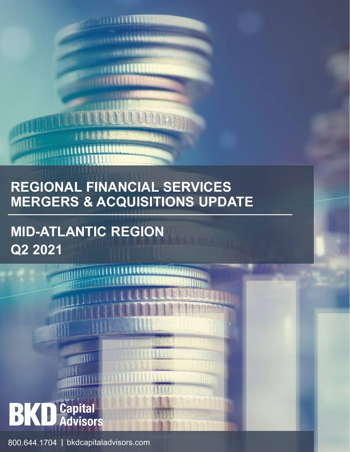

**THURSDAY** 

. . . . . . . . . . . .

**MID-ATLANTIC REGION Q2 2021**

**ETHIOD** 



800.644.1704 | bkdcapitaladvisors.com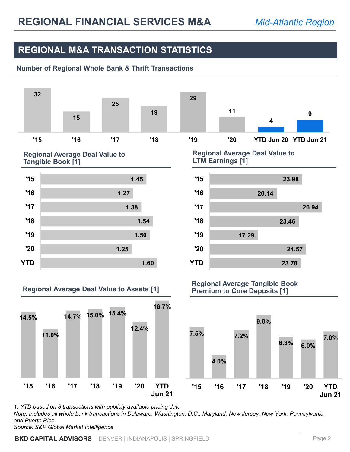### **REGIONAL M&A TRANSACTION STATISTICS**

### **Number of Regional Whole Bank & Thrift Transactions**



*1. YTD based on 8 transactions with publicly available pricing data Note: Includes all whole bank transactions in Delaware, Washington, D.C., Maryland, New Jersey, New York, Pennsylvania, and Puerto Rico Source: S&P Global Market Intelligence*

**BKD CAPITAL ADVISORS** DENVER | INDIANAPOLIS | SPRINGFIELD Page 2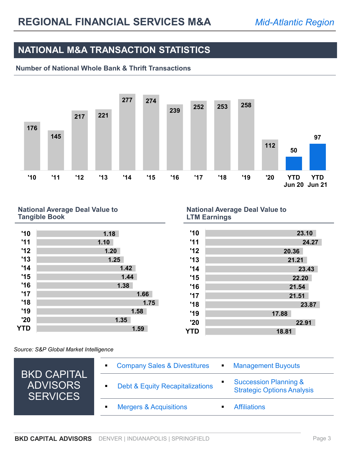## **NATIONAL M&A TRANSACTION STATISTICS**

### **Number of National Whole Bank & Thrift Transactions**



#### **National Average Deal Value to Tangible Book**

| '10 | 1.18 |
|-----|------|
| '11 | 1.10 |
| '12 | 1.20 |
| '13 | 1.25 |
| '14 | 1.42 |
| '15 | 1.44 |
| '16 | 1.38 |
| '17 | 1.66 |
| '18 | 1.75 |
| '19 | 1.58 |
| '20 | 1.35 |
| YTD | 1.59 |
|     |      |

#### **National Average Deal Value to LTM Earnings**

| '10 | 23.10 |
|-----|-------|
| '11 | 24.27 |
| '12 | 20.36 |
| '13 | 21.21 |
| '14 | 23.43 |
| '15 | 22.20 |
| '16 | 21.54 |
| '17 | 21.51 |
| '18 | 23.87 |
| '19 | 17.88 |
| '20 | 22.91 |
| YTD | 18.81 |
|     |       |

*Source: S&P Global Market Intelligence*

|                                                          | <b>Company Sales &amp; Divestitures</b><br><b>Management Buyouts</b><br>$\blacksquare$<br>٠                                           |
|----------------------------------------------------------|---------------------------------------------------------------------------------------------------------------------------------------|
| <b>BKD CAPITAL</b><br><b>ADVISORS</b><br><b>SERVICES</b> | <b>Succession Planning &amp;</b><br><b>Debt &amp; Equity Recapitalizations</b><br>$\blacksquare$<br><b>Strategic Options Analysis</b> |
|                                                          | <b>Mergers &amp; Acquisitions</b><br><b>Affiliations</b>                                                                              |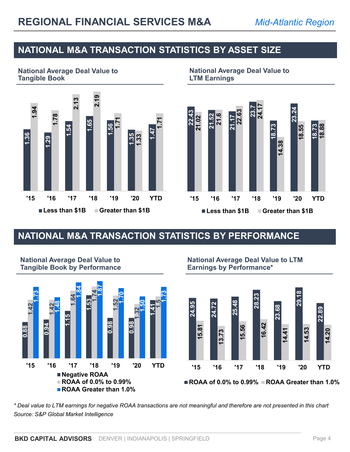## **NATIONAL M&A TRANSACTION STATISTICS BY ASSET SIZE**

**National Average Deal Value to Tangible Book**



#### **National Average Deal Value to LTM Earnings**



## **NATIONAL M&A TRANSACTION STATISTICS BY PERFORMANCE**



#### **National Average Deal Value to Tangible Book by Performance**

**National Average Deal Value to LTM Earnings by Performance\***



■ ROAA of 0.0% to 0.99% **■ ROAA Greater than 1.0%** 

*Source: S&P Global Market Intelligence*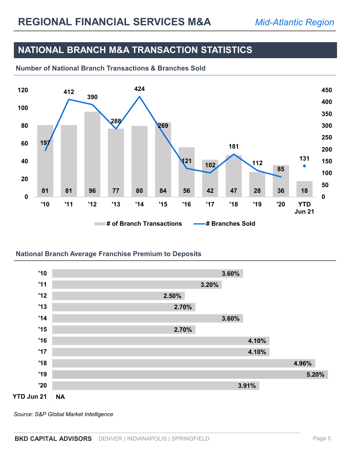### **NATIONAL BRANCH M&A TRANSACTION STATISTICS**





#### **National Branch Average Franchise Premium to Deposits**



*Source: S&P Global Market Intelligence*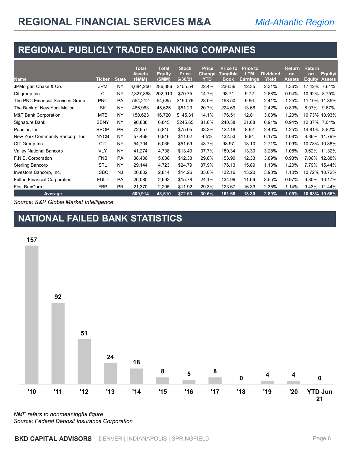## **REGIONAL PUBLICLY TRADED BANKING COMPANIES**

| <b>Name</b>                         | <b>Ticker</b> | <b>State</b> | <b>Total</b><br>Assets<br>(\$MM) | <b>Total</b><br><b>Equity</b><br>(\$MM) | <b>Stock</b><br><b>Price</b><br>6/30/21 | <b>Price</b><br><b>Change</b><br>YTD | <b>Price to</b><br><b>Tangible</b><br><b>Book</b> | <b>Price to</b><br><b>LTM</b><br><b>Earnings</b> | <b>Dividend</b><br>Yield | <b>Return</b><br>on<br><b>Assets</b> | <b>Return</b><br>on<br><b>Equity</b> | Equity/<br><b>Assets</b> |
|-------------------------------------|---------------|--------------|----------------------------------|-----------------------------------------|-----------------------------------------|--------------------------------------|---------------------------------------------------|--------------------------------------------------|--------------------------|--------------------------------------|--------------------------------------|--------------------------|
| JPMorgan Chase & Co.                | <b>JPM</b>    | NY           | 3,684,256                        | 286,386                                 | \$155.54                                | 22.4%                                | 236.56                                            | 12.35                                            | 2.31%                    | 1.36%                                | 17.42%                               | 7.61%                    |
| Citigroup Inc.                      | С             | NY           | 2,327,868                        | 202,910                                 | \$70.75                                 | 14.7%                                | 93.71                                             | 9.72                                             | 2.88%                    | 0.94%                                | 10.92%                               | 8.75%                    |
| The PNC Financial Services Group    | <b>PNC</b>    | PA           | 554,212                          | 54,685                                  | \$190.76                                | 28.0%                                | 198.50                                            | 9.96                                             | 2.41%                    | 1.25%                                |                                      | 11.10% 11.35%            |
| The Bank of New York Mellon         | BK            | <b>NY</b>    | 466,963                          | 45,625                                  | \$51.23                                 | 20.7%                                | 224.69                                            | 13.66                                            | 2.42%                    | 0.83%                                | 8.07%                                | 9.67%                    |
| <b>M&amp;T Bank Corporation</b>     | <b>MTB</b>    | NY           | 150,623                          | 16,720                                  | \$145.31                                | 14.1%                                | 176.51                                            | 12.81                                            | 3.03%                    | 1.20%                                |                                      | 10.73% 10.93%            |
| Signature Bank                      | <b>SBNY</b>   | <b>NY</b>    | 96,888                           | 6,845                                   | \$245.65                                | 81.6%                                | 240.38                                            | 21.68                                            | 0.91%                    | 0.94%                                | 12.37% 7.04%                         |                          |
| Popular, Inc.                       | <b>BPOP</b>   | <b>PR</b>    | 72,657                           | 5,815                                   | \$75.05                                 | 33.3%                                | 122.18                                            | 8.62                                             | 2.40%                    | 1.25%                                | 14.81% 8.82%                         |                          |
| New York Community Bancorp, Inc.    | <b>NYCB</b>   | NY           | 57,469                           | 6,916                                   | \$11.02                                 | 4.5%                                 | 132.53                                            | 9.84                                             | 6.17%                    | 1.08%                                |                                      | 8.86% 11.79%             |
| CIT Group Inc.                      | <b>CIT</b>    | NY           | 54,704                           | 6,036                                   | \$51.59                                 | 43.7%                                | 98.97                                             | 18.10                                            | 2.71%                    | 1.09%                                |                                      | 10.78% 10.38%            |
| <b>Valley National Bancorp</b>      | <b>VLY</b>    | <b>NY</b>    | 41,274                           | 4,738                                   | \$13.43                                 | 37.7%                                | 180.34                                            | 13.30                                            | 3.28%                    | 1.08%                                |                                      | 9.62% 11.32%             |
| F.N.B. Corporation                  | <b>FNB</b>    | <b>PA</b>    | 38,406                           | 5,036                                   | \$12.33                                 | 29.8%                                | 153.90                                            | 12.33                                            | 3.89%                    | 0.93%                                |                                      | 7.06% 12.88%             |
| <b>Sterling Bancorp</b>             | <b>STL</b>    | NY           | 29,144                           | 4,723                                   | \$24.79                                 | 37.9%                                | 176.13                                            | 15.89                                            | 1.13%                    | 1.20%                                |                                      | 7.79% 15.44%             |
| Investors Bancorp, Inc.             | <b>ISBC</b>   | <b>NJ</b>    | 26,802                           | 2,814                                   | \$14.26                                 | 35.0%                                | 132.16                                            | 13.20                                            | 3.93%                    | 1.10%                                |                                      | 10.72% 10.72%            |
| <b>Fulton Financial Corporation</b> | <b>FULT</b>   | <b>PA</b>    | 26,080                           | 2,693                                   | \$15.78                                 | 24.1%                                | 134.96                                            | 11.69                                            | 3.55%                    | 0.97%                                |                                      | 9.80% 10.17%             |
| First BanCorp.                      | <b>FBP</b>    | <b>PR</b>    | 21,370                           | 2,205                                   | \$11.92                                 | 29.3%                                | 123.67                                            | 16.33                                            | 2.35%                    | 1.14%                                |                                      | 9.43% 11.44%             |
| Average                             |               |              | 509,914                          | 43,610                                  | \$72.63                                 | 30.5%                                | 161.68                                            | 13.30                                            | 2.89%                    | 1.09%                                |                                      | 10.63% 10.55%            |

*Source: S&P Global Market Intelligence*

# **NATIONAL FAILED BANK STATISTICS**



*NMF refers to nonmeaningful figure Source: Federal Deposit Insurance Corporation*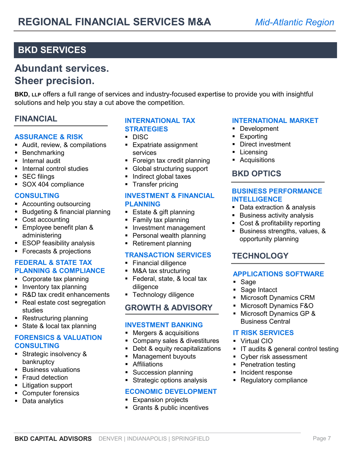## **BKD SERVICES**

# **Abundant services. Sheer precision.**

**BKD, LLP** offers a full range of services and industry-focused expertise to provide you with insightful solutions and help you stay a cut above the competition.

### **FINANCIAL**

#### **ASSURANCE & RISK**

- Audit, review, & compilations
- **Benchmarking**
- **Internal audit**
- Internal control studies
- **SEC filings**
- SOX 404 compliance

#### **CONSULTING**

- Accounting outsourcing
- **Budgeting & financial planning**
- Cost accounting
- **Employee benefit plan &** administering
- **ESOP feasibility analysis**
- **Forecasts & projections**

#### **FEDERAL & STATE TAX PLANNING & COMPLIANCE**

- **Corporate tax planning**
- **Inventory tax planning**
- R&D tax credit enhancements
- Real estate cost segregation studies
- Restructuring planning
- State & local tax planning

### **FORENSICS & VALUATION CONSULTING**

- **Strategic insolvency &** bankruptcy
- **Business valuations**
- **Fraud detection**
- **Litigation support**
- **Computer forensics**
- Data analytics

#### **INTERNATIONAL TAX STRATEGIES**

- DISC<sub>1</sub>
- **Expatriate assignment** services
- Foreign tax credit planning
- Global structuring support
- **Indirect global taxes**
- **Transfer pricing**

#### **INVESTMENT & FINANCIAL PLANNING**

- **Estate & gift planning**
- **Family tax planning**
- **Investment management**
- **Personal wealth planning**
- **Retirement planning**

#### **TRANSACTION SERVICES**

- **Financial diligence**
- **M&A tax structuring**
- **Federal, state, & local tax** diligence
- **Technology diligence**

#### **GROWTH & ADVISORY**

#### **INVESTMENT BANKING**

- **Mergers & acquisitions**
- Company sales & divestitures
- Debt & equity recapitalizations
- **Management buyouts**
- **Affiliations**
- **Succession planning**

### **Strategic options analysis ECONOMIC DEVELOPMENT**

- **Expansion projects**
- **Grants & public incentives**

#### **INTERNATIONAL MARKET**

- Development
- **Exporting**
- **Direct investment**
- **Licensing**
- **Acquisitions**

### **BKD OPTICS**

#### **BUSINESS PERFORMANCE INTELLIGENCE**

- Data extraction & analysis
- **Business activity analysis**
- Cost & profitability reporting
- Business strengths, values, & opportunity planning

### **TECHNOLOGY**

#### **APPLICATIONS SOFTWARE**

- Sage
- Sage Intacct
- **Microsoft Dynamics CRM**
- Microsoft Dynamics F&O
- Microsoft Dynamics GP & Business Central

#### **IT RISK SERVICES**

- Virtual CIO
- **IT audits & general control testing**
- Cyber risk assessment
- **Penetration testing**
- **Incident response**
- **Regulatory compliance**